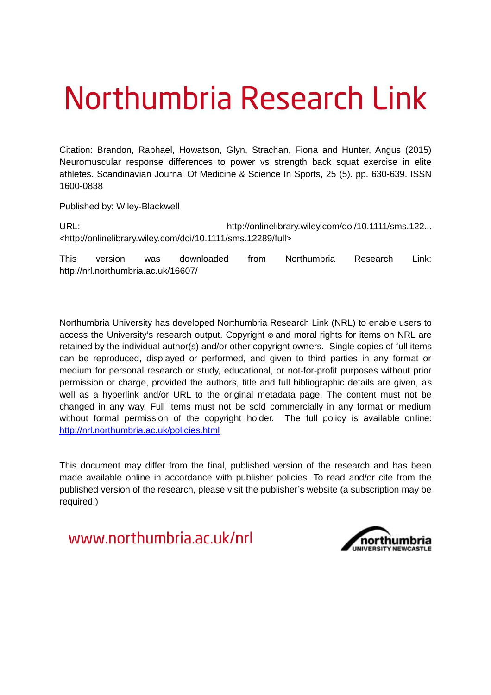# Northumbria Research Link

Citation: Brandon, Raphael, Howatson, Glyn, Strachan, Fiona and Hunter, Angus (2015) Neuromuscular response differences to power vs strength back squat exercise in elite athletes. Scandinavian Journal Of Medicine & Science In Sports, 25 (5). pp. 630-639. ISSN 1600-0838

Published by: Wiley-Blackwell

URL: http://onlinelibrary.wiley.com/doi/10.1111/sms.122... <http://onlinelibrary.wiley.com/doi/10.1111/sms.12289/full>

This version was downloaded from Northumbria Research Link: http://nrl.northumbria.ac.uk/16607/

Northumbria University has developed Northumbria Research Link (NRL) to enable users to access the University's research output. Copyright  $\circ$  and moral rights for items on NRL are retained by the individual author(s) and/or other copyright owners. Single copies of full items can be reproduced, displayed or performed, and given to third parties in any format or medium for personal research or study, educational, or not-for-profit purposes without prior permission or charge, provided the authors, title and full bibliographic details are given, as well as a hyperlink and/or URL to the original metadata page. The content must not be changed in any way. Full items must not be sold commercially in any format or medium without formal permission of the copyright holder. The full policy is available online: <http://nrl.northumbria.ac.uk/policies.html>

This document may differ from the final, published version of the research and has been made available online in accordance with publisher policies. To read and/or cite from the published version of the research, please visit the publisher's website (a subscription may be required.)

www.northumbria.ac.uk/nrl

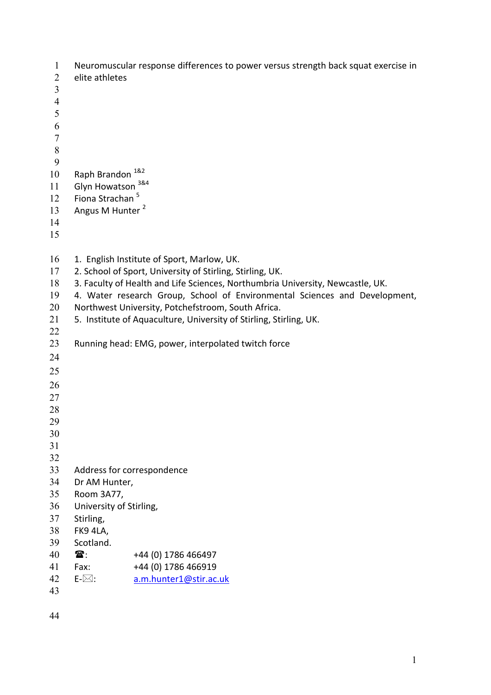```
1 Neuromuscular response differences to power versus strength back squat exercise in 
 2 elite athletes 
 3 
 4 
 5 
 6 
 7 
 8 
 9 
10 Raph Brandon 18211 Glyn Howatson 3&4
      Fiona Strachan 5
12 
      Angus M Hunter<sup>2</sup>
13 
14 
15 
16 1. English Institute of Sport, Marlow, UK.
17 2. School of Sport, University of Stirling, Stirling, UK. 
18 3. Faculty of Health and Life Sciences, Northumbria University, Newcastle, UK. 
19 4. Water research Group, School of Environmental Sciences and Development, 
20 Northwest University, Potchefstroom, South Africa. 
21 5. Institute of Aquaculture, University of Stirling, Stirling, UK. 
22 
23 Running head: EMG, power, interpolated twitch force 
24 
25 
26 
27
```
 

- Address for correspondence
- Dr AM Hunter,
- Room 3A77,
- University of Stirling,
- Stirling,
- FK9 4LA,
- Scotland.
- $40 \quad \text{m}$ : +44 (0) 1786 466497
- Fax: +44 (0) 1786 466919
- E- $\boxtimes$ : [a.m.hunter1@stir.ac.uk](mailto:a.m.hunter1@stir.ac.uk)
-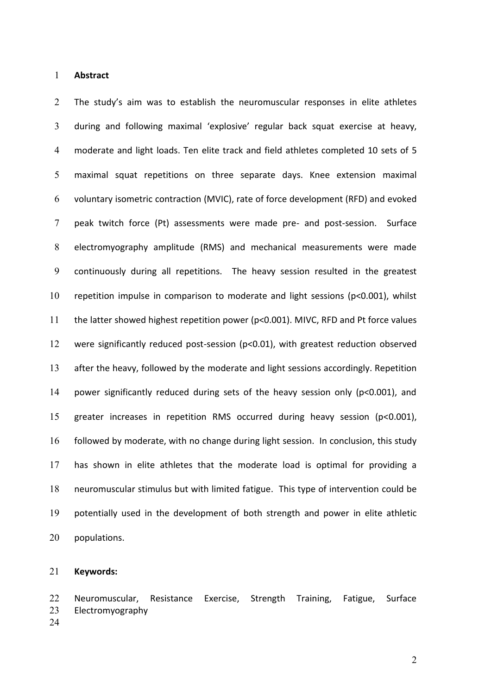#### **Abstract**

2 The study's aim was to establish the neuromuscular responses in elite athletes 3 during and following maximal 'explosive' regular back squat exercise at heavy, moderate and light loads. Ten elite track and field athletes completed 10 sets of 5 maximal squat repetitions on three separate days. Knee extension maximal voluntary isometric contraction (MVIC), rate of force development (RFD) and evoked peak twitch force (Pt) assessments were made pre- and post-session. Surface electromyography amplitude (RMS) and mechanical measurements were made continuously during all repetitions. The heavy session resulted in the greatest repetition impulse in comparison to moderate and light sessions (p<0.001), whilst the latter showed highest repetition power (p<0.001). MIVC, RFD and Pt force values were significantly reduced post-session (p<0.01), with greatest reduction observed after the heavy, followed by the moderate and light sessions accordingly. Repetition power significantly reduced during sets of the heavy session only (p<0.001), and greater increases in repetition RMS occurred during heavy session (p<0.001), followed by moderate, with no change during light session. In conclusion, this study has shown in elite athletes that the moderate load is optimal for providing a neuromuscular stimulus but with limited fatigue. This type of intervention could be potentially used in the development of both strength and power in elite athletic populations.

#### **Keywords:**

Neuromuscular, Resistance Exercise, Strength Training, Fatigue, Surface Electromyography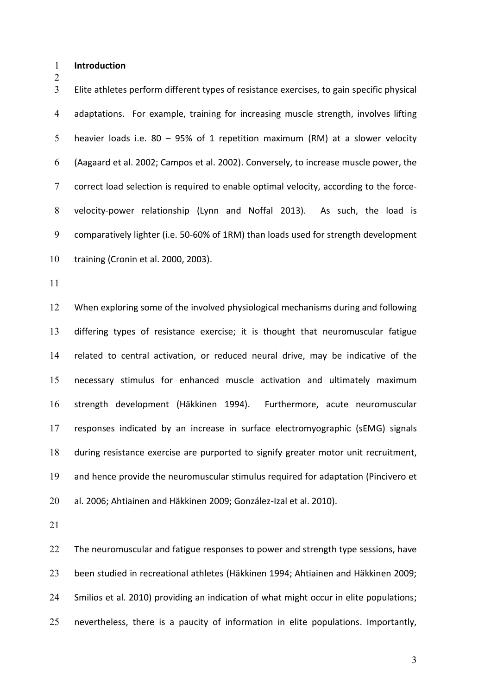**Introduction** 

Elite athletes perform different types of resistance exercises, to gain specific physical adaptations. For example, training for increasing muscle strength, involves lifting heavier loads i.e. 80 – 95% of 1 repetition maximum (RM) at a slower velocity (Aagaard et al. 2002; Campos et al. 2002). Conversely, to increase muscle power, the correct load selection is required to enable optimal velocity, according to the force-velocity-power relationship (Lynn and Noffal 2013). As such, the load is comparatively lighter (i.e. 50-60% of 1RM) than loads used for strength development training (Cronin et al. 2000, 2003).

When exploring some of the involved physiological mechanisms during and following differing types of resistance exercise; it is thought that neuromuscular fatigue related to central activation, or reduced neural drive, may be indicative of the necessary stimulus for enhanced muscle activation and ultimately maximum strength development (Häkkinen 1994). Furthermore, acute neuromuscular responses indicated by an increase in surface electromyographic (sEMG) signals during resistance exercise are purported to signify greater motor unit recruitment, and hence provide the neuromuscular stimulus required for adaptation (Pincivero et al. 2006; Ahtiainen and Häkkinen 2009; González-Izal et al. 2010).

22 The neuromuscular and fatigue responses to power and strength type sessions, have been studied in recreational athletes (Häkkinen 1994; Ahtiainen and Häkkinen 2009; Smilios et al. 2010) providing an indication of what might occur in elite populations; nevertheless, there is a paucity of information in elite populations. Importantly,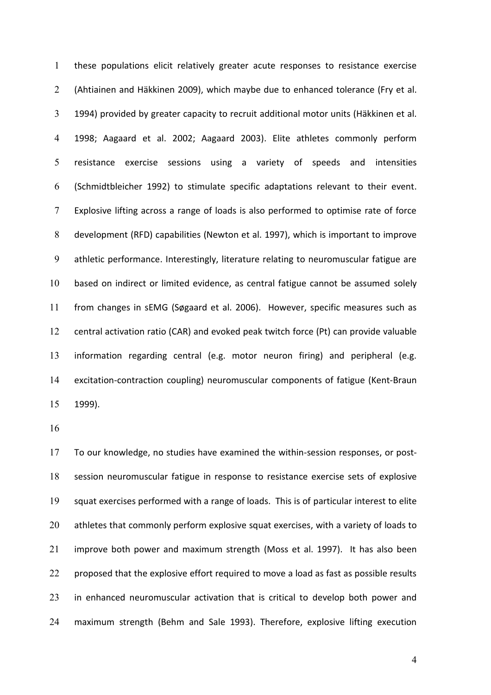these populations elicit relatively greater acute responses to resistance exercise (Ahtiainen and Häkkinen 2009), which maybe due to enhanced tolerance (Fry et al. 1994) provided by greater capacity to recruit additional motor units (Häkkinen et al. 1998; Aagaard et al. 2002; Aagaard 2003). Elite athletes commonly perform resistance exercise sessions using a variety of speeds and intensities (Schmidtbleicher 1992) to stimulate specific adaptations relevant to their event. Explosive lifting across a range of loads is also performed to optimise rate of force development (RFD) capabilities (Newton et al. 1997), which is important to improve athletic performance. Interestingly, literature relating to neuromuscular fatigue are based on indirect or limited evidence, as central fatigue cannot be assumed solely from changes in sEMG (Søgaard et al. 2006). However, specific measures such as central activation ratio (CAR) and evoked peak twitch force (Pt) can provide valuable information regarding central (e.g. motor neuron firing) and peripheral (e.g. excitation-contraction coupling) neuromuscular components of fatigue (Kent-Braun 1999).

To our knowledge, no studies have examined the within-session responses, or post-session neuromuscular fatigue in response to resistance exercise sets of explosive squat exercises performed with a range of loads. This is of particular interest to elite 20 athletes that commonly perform explosive squat exercises, with a variety of loads to improve both power and maximum strength (Moss et al. 1997). It has also been 22 proposed that the explosive effort required to move a load as fast as possible results in enhanced neuromuscular activation that is critical to develop both power and maximum strength (Behm and Sale 1993). Therefore, explosive lifting execution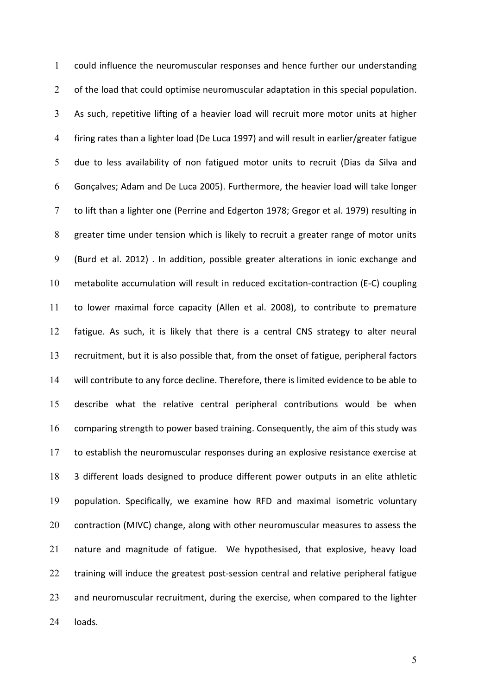could influence the neuromuscular responses and hence further our understanding 2 of the load that could optimise neuromuscular adaptation in this special population. As such, repetitive lifting of a heavier load will recruit more motor units at higher firing rates than a lighter load (De Luca 1997) and will result in earlier/greater fatigue due to less availability of non fatigued motor units to recruit (Dias da Silva and Gonçalves; Adam and De Luca 2005). Furthermore, the heavier load will take longer to lift than a lighter one (Perrine and Edgerton 1978; Gregor et al. 1979) resulting in greater time under tension which is likely to recruit a greater range of motor units (Burd et al. 2012) . In addition, possible greater alterations in ionic exchange and metabolite accumulation will result in reduced excitation-contraction (E-C) coupling to lower maximal force capacity (Allen et al. 2008), to contribute to premature fatigue. As such, it is likely that there is a central CNS strategy to alter neural recruitment, but it is also possible that, from the onset of fatigue, peripheral factors will contribute to any force decline. Therefore, there is limited evidence to be able to describe what the relative central peripheral contributions would be when comparing strength to power based training. Consequently, the aim of this study was to establish the neuromuscular responses during an explosive resistance exercise at 3 different loads designed to produce different power outputs in an elite athletic population. Specifically, we examine how RFD and maximal isometric voluntary 20 contraction (MIVC) change, along with other neuromuscular measures to assess the nature and magnitude of fatigue. We hypothesised, that explosive, heavy load 22 training will induce the greatest post-session central and relative peripheral fatigue and neuromuscular recruitment, during the exercise, when compared to the lighter loads.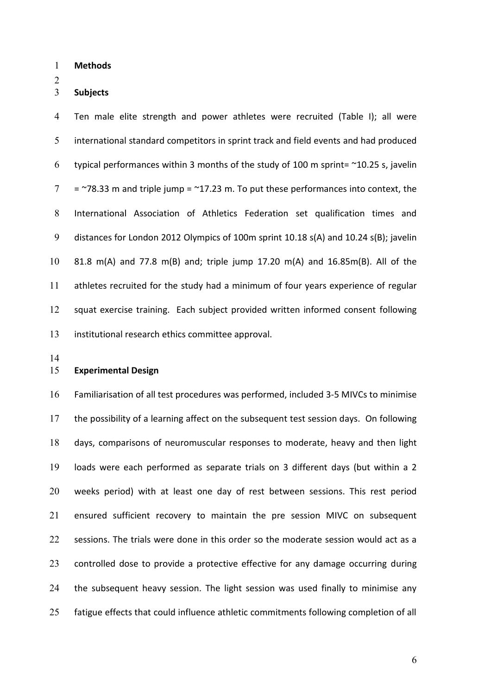**Methods** 

#### **Subjects**

Ten male elite strength and power athletes were recruited (Table I); all were international standard competitors in sprint track and field events and had produced 6 typical performances within 3 months of the study of 100 m sprint=  $\sim$ 10.25 s, javelin  $7 = 78.33$  m and triple jump =  $-17.23$  m. To put these performances into context, the International Association of Athletics Federation set qualification times and distances for London 2012 Olympics of 100m sprint 10.18 s(A) and 10.24 s(B); javelin 81.8 m(A) and 77.8 m(B) and; triple jump 17.20 m(A) and 16.85m(B). All of the athletes recruited for the study had a minimum of four years experience of regular squat exercise training. Each subject provided written informed consent following institutional research ethics committee approval.

#### **Experimental Design**

Familiarisation of all test procedures was performed, included 3-5 MIVCs to minimise the possibility of a learning affect on the subsequent test session days. On following days, comparisons of neuromuscular responses to moderate, heavy and then light loads were each performed as separate trials on 3 different days (but within a 2 weeks period) with at least one day of rest between sessions. This rest period ensured sufficient recovery to maintain the pre session MIVC on subsequent 22 sessions. The trials were done in this order so the moderate session would act as a controlled dose to provide a protective effective for any damage occurring during the subsequent heavy session. The light session was used finally to minimise any fatigue effects that could influence athletic commitments following completion of all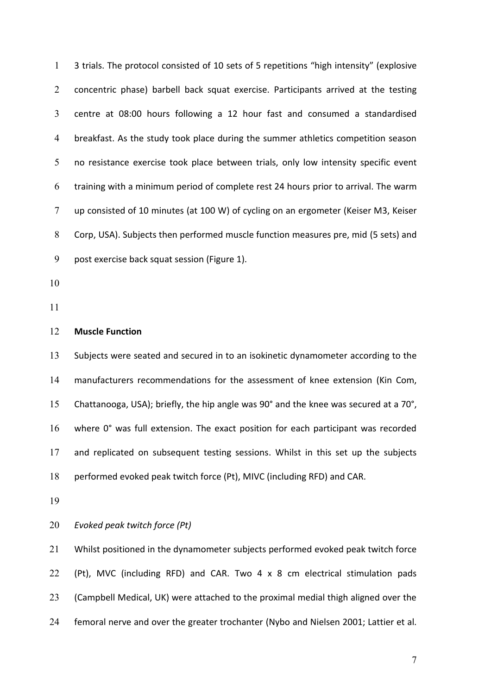1 3 trials. The protocol consisted of 10 sets of 5 repetitions "high intensity" (explosive concentric phase) barbell back squat exercise. Participants arrived at the testing centre at 08:00 hours following a 12 hour fast and consumed a standardised breakfast. As the study took place during the summer athletics competition season no resistance exercise took place between trials, only low intensity specific event training with a minimum period of complete rest 24 hours prior to arrival. The warm up consisted of 10 minutes (at 100 W) of cycling on an ergometer (Keiser M3, Keiser Corp, USA). Subjects then performed muscle function measures pre, mid (5 sets) and post exercise back squat session (Figure 1).

- 
- 

#### **Muscle Function**

Subjects were seated and secured in to an isokinetic dynamometer according to the manufacturers recommendations for the assessment of knee extension (Kin Com, Chattanooga, USA); briefly, the hip angle was 90° and the knee was secured at a 70°, where 0° was full extension. The exact position for each participant was recorded and replicated on subsequent testing sessions. Whilst in this set up the subjects performed evoked peak twitch force (Pt), MIVC (including RFD) and CAR.

*Evoked peak twitch force (Pt)* 

Whilst positioned in the dynamometer subjects performed evoked peak twitch force (Pt), MVC (including RFD) and CAR. Two 4 x 8 cm electrical stimulation pads (Campbell Medical, UK) were attached to the proximal medial thigh aligned over the femoral nerve and over the greater trochanter (Nybo and Nielsen 2001; Lattier et al.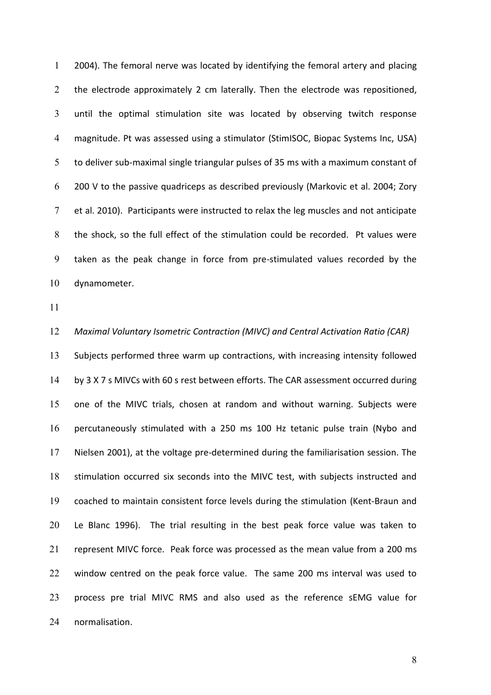2004). The femoral nerve was located by identifying the femoral artery and placing 2 the electrode approximately 2 cm laterally. Then the electrode was repositioned, until the optimal stimulation site was located by observing twitch response magnitude. Pt was assessed using a stimulator (StimISOC, Biopac Systems Inc, USA) to deliver sub-maximal single triangular pulses of 35 ms with a maximum constant of 200 V to the passive quadriceps as described previously (Markovic et al. 2004; Zory et al. 2010). Participants were instructed to relax the leg muscles and not anticipate the shock, so the full effect of the stimulation could be recorded. Pt values were taken as the peak change in force from pre-stimulated values recorded by the dynamometer.

*Maximal Voluntary Isometric Contraction (MIVC) and Central Activation Ratio (CAR)*  Subjects performed three warm up contractions, with increasing intensity followed by 3 X 7 s MIVCs with 60 s rest between efforts. The CAR assessment occurred during one of the MIVC trials, chosen at random and without warning. Subjects were percutaneously stimulated with a 250 ms 100 Hz tetanic pulse train (Nybo and Nielsen 2001), at the voltage pre-determined during the familiarisation session. The stimulation occurred six seconds into the MIVC test, with subjects instructed and coached to maintain consistent force levels during the stimulation (Kent-Braun and Le Blanc 1996). The trial resulting in the best peak force value was taken to represent MIVC force. Peak force was processed as the mean value from a 200 ms window centred on the peak force value. The same 200 ms interval was used to process pre trial MIVC RMS and also used as the reference sEMG value for normalisation.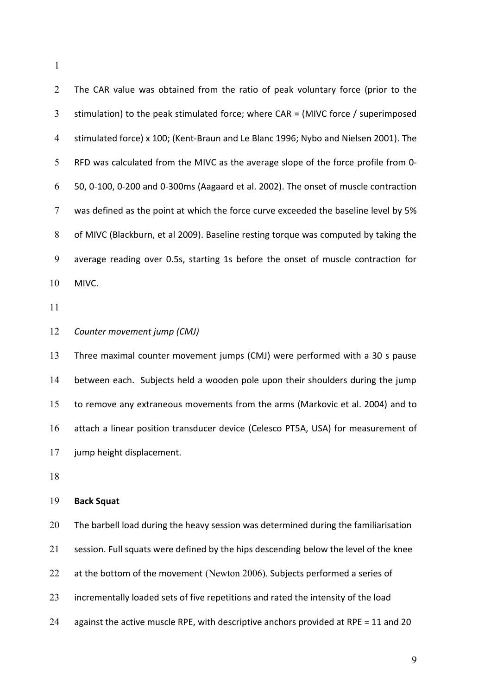| $\overline{2}$ | The CAR value was obtained from the ratio of peak voluntary force (prior to the      |
|----------------|--------------------------------------------------------------------------------------|
| 3              | stimulation) to the peak stimulated force; where CAR = (MIVC force / superimposed    |
| 4              | stimulated force) x 100; (Kent-Braun and Le Blanc 1996; Nybo and Nielsen 2001). The  |
| 5              | RFD was calculated from the MIVC as the average slope of the force profile from 0-   |
| 6              | 50, 0-100, 0-200 and 0-300ms (Aagaard et al. 2002). The onset of muscle contraction  |
| $\tau$         | was defined as the point at which the force curve exceeded the baseline level by 5%  |
| 8              | of MIVC (Blackburn, et al 2009). Baseline resting torque was computed by taking the  |
| 9              | average reading over 0.5s, starting 1s before the onset of muscle contraction for    |
| 10             | MIVC.                                                                                |
| 11             |                                                                                      |
| 12             | Counter movement jump (CMJ)                                                          |
| 13             | Three maximal counter movement jumps (CMJ) were performed with a 30 s pause          |
| 14             | between each. Subjects held a wooden pole upon their shoulders during the jump       |
| 15             | to remove any extraneous movements from the arms (Markovic et al. 2004) and to       |
| 16             | attach a linear position transducer device (Celesco PT5A, USA) for measurement of    |
| 17             | jump height displacement.                                                            |
| 18             |                                                                                      |
| 19             | <b>Back Squat</b>                                                                    |
| 20             | The barbell load during the heavy session was determined during the familiarisation  |
| 21             | session. Full squats were defined by the hips descending below the level of the knee |
| 22             | at the bottom of the movement (Newton 2006). Subjects performed a series of          |
| 23             | incrementally loaded sets of five repetitions and rated the intensity of the load    |
| 24             | against the active muscle RPE, with descriptive anchors provided at RPE = 11 and 20  |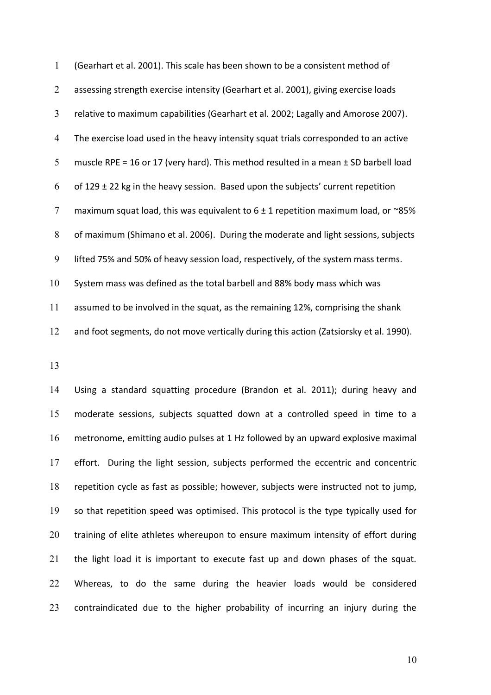| 1              | (Gearhart et al. 2001). This scale has been shown to be a consistent method of          |
|----------------|-----------------------------------------------------------------------------------------|
| 2              | assessing strength exercise intensity (Gearhart et al. 2001), giving exercise loads     |
| 3              | relative to maximum capabilities (Gearhart et al. 2002; Lagally and Amorose 2007).      |
| $\overline{4}$ | The exercise load used in the heavy intensity squat trials corresponded to an active    |
| 5              | muscle RPE = 16 or 17 (very hard). This method resulted in a mean $\pm$ SD barbell load |
| 6              | of $129 \pm 22$ kg in the heavy session. Based upon the subjects' current repetition    |
| $\overline{7}$ | maximum squat load, this was equivalent to $6 \pm 1$ repetition maximum load, or ~85%   |
| 8              | of maximum (Shimano et al. 2006). During the moderate and light sessions, subjects      |
| 9              | lifted 75% and 50% of heavy session load, respectively, of the system mass terms.       |
| 10             | System mass was defined as the total barbell and 88% body mass which was                |
| 11             | assumed to be involved in the squat, as the remaining 12%, comprising the shank         |
| 12             | and foot segments, do not move vertically during this action (Zatsiorsky et al. 1990).  |

Using a standard squatting procedure (Brandon et al. 2011); during heavy and moderate sessions, subjects squatted down at a controlled speed in time to a metronome, emitting audio pulses at 1 Hz followed by an upward explosive maximal effort. During the light session, subjects performed the eccentric and concentric repetition cycle as fast as possible; however, subjects were instructed not to jump, so that repetition speed was optimised. This protocol is the type typically used for training of elite athletes whereupon to ensure maximum intensity of effort during the light load it is important to execute fast up and down phases of the squat. Whereas, to do the same during the heavier loads would be considered contraindicated due to the higher probability of incurring an injury during the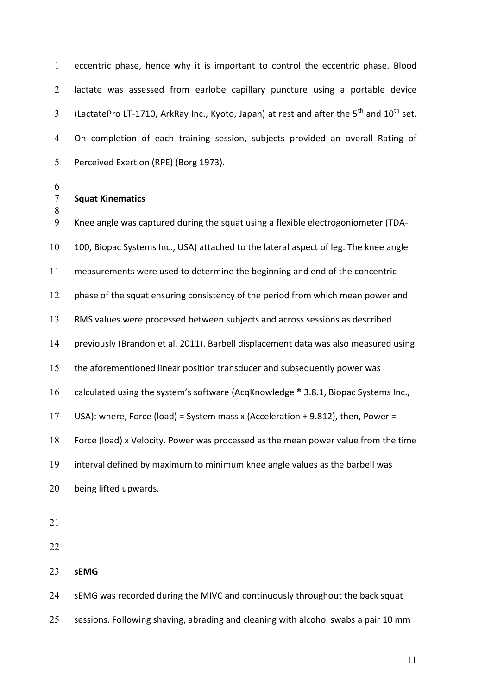eccentric phase, hence why it is important to control the eccentric phase. Blood lactate was assessed from earlobe capillary puncture using a portable device  $\frac{3}{10}$  (LactatePro LT-1710, ArkRay Inc., Kyoto, Japan) at rest and after the 5<sup>th</sup> and 10<sup>th</sup> set. On completion of each training session, subjects provided an overall Rating of Perceived Exertion (RPE) (Borg 1973).

- 
- **Squat Kinematics**

 Knee angle was captured during the squat using a flexible electrogoniometer (TDA-100, Biopac Systems Inc., USA) attached to the lateral aspect of leg. The knee angle measurements were used to determine the beginning and end of the concentric 12 phase of the squat ensuring consistency of the period from which mean power and RMS values were processed between subjects and across sessions as described previously (Brandon et al. 2011). Barbell displacement data was also measured using the aforementioned linear position transducer and subsequently power was 16 calculated using the system's software (AcqKnowledge ® 3.8.1, Biopac Systems Inc., USA): where, Force (load) = System mass x (Acceleration + 9.812), then, Power = Force (load) x Velocity. Power was processed as the mean power value from the time interval defined by maximum to minimum knee angle values as the barbell was being lifted upwards. 

**sEMG** 

24 SEMG was recorded during the MIVC and continuously throughout the back squat sessions. Following shaving, abrading and cleaning with alcohol swabs a pair 10 mm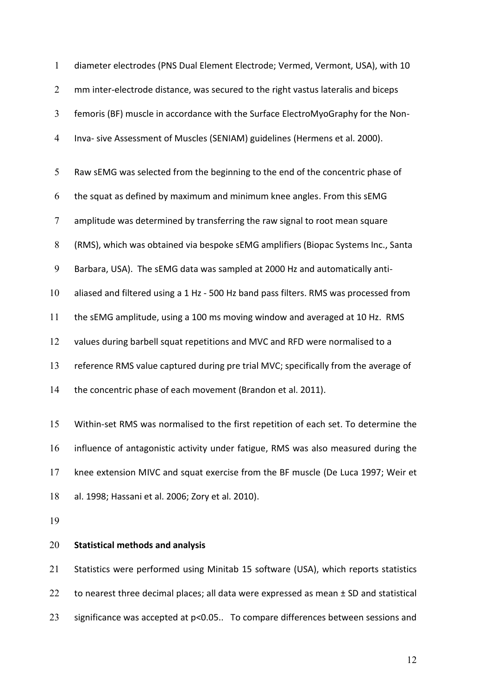| $\mathbf{1}$   | diameter electrodes (PNS Dual Element Electrode; Vermed, Vermont, USA), with 10      |
|----------------|--------------------------------------------------------------------------------------|
| $\overline{2}$ | mm inter-electrode distance, was secured to the right vastus lateralis and biceps    |
| $\mathfrak{Z}$ | femoris (BF) muscle in accordance with the Surface ElectroMyoGraphy for the Non-     |
| $\overline{4}$ | Inva- sive Assessment of Muscles (SENIAM) guidelines (Hermens et al. 2000).          |
| 5              | Raw sEMG was selected from the beginning to the end of the concentric phase of       |
| 6              | the squat as defined by maximum and minimum knee angles. From this sEMG              |
| $\tau$         | amplitude was determined by transferring the raw signal to root mean square          |
| 8              | (RMS), which was obtained via bespoke sEMG amplifiers (Biopac Systems Inc., Santa    |
| $\mathbf{9}$   | Barbara, USA). The sEMG data was sampled at 2000 Hz and automatically anti-          |
| 10             | aliased and filtered using a 1 Hz - 500 Hz band pass filters. RMS was processed from |
| 11             | the sEMG amplitude, using a 100 ms moving window and averaged at 10 Hz. RMS          |
| 12             | values during barbell squat repetitions and MVC and RFD were normalised to a         |
| 13             | reference RMS value captured during pre trial MVC; specifically from the average of  |
| 14             | the concentric phase of each movement (Brandon et al. 2011).                         |
| 15             | Within-set RMS was normalised to the first repetition of each set. To determine the  |
| 16             | influence of antagonistic activity under fatigue, RMS was also measured during the   |
| 17             | knee extension MIVC and squat exercise from the BF muscle (De Luca 1997; Weir et     |

- al. 1998; Hassani et al. 2006; Zory et al. 2010).
- 

## **Statistical methods and analysis**

Statistics were performed using Minitab 15 software (USA), which reports statistics 22 to nearest three decimal places; all data were expressed as mean  $\pm$  SD and statistical significance was accepted at p<0.05.. To compare differences between sessions and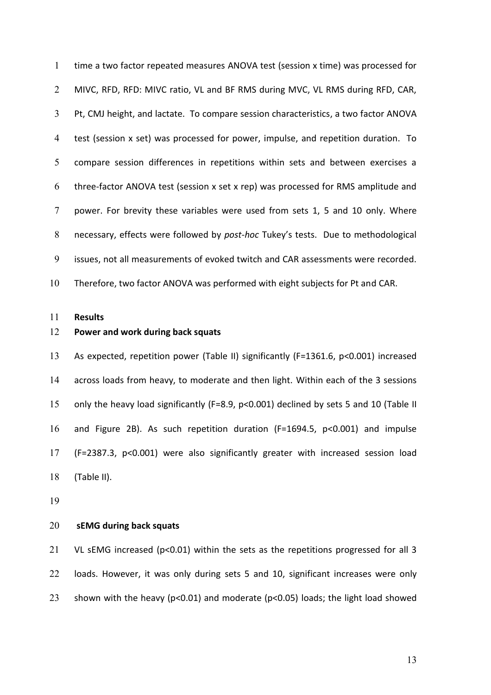time a two factor repeated measures ANOVA test (session x time) was processed for MIVC, RFD, RFD: MIVC ratio, VL and BF RMS during MVC, VL RMS during RFD, CAR, Pt, CMJ height, and lactate. To compare session characteristics, a two factor ANOVA test (session x set) was processed for power, impulse, and repetition duration. To compare session differences in repetitions within sets and between exercises a three-factor ANOVA test (session x set x rep) was processed for RMS amplitude and power. For brevity these variables were used from sets 1, 5 and 10 only. Where 8 necessary, effects were followed by *post-hoc* Tukey's tests. Due to methodological issues, not all measurements of evoked twitch and CAR assessments were recorded. Therefore, two factor ANOVA was performed with eight subjects for Pt and CAR.

**Results**

#### **Power and work during back squats**

As expected, repetition power (Table II) significantly (F=1361.6, p<0.001) increased across loads from heavy, to moderate and then light. Within each of the 3 sessions only the heavy load significantly (F=8.9, p<0.001) declined by sets 5 and 10 (Table II and Figure 2B). As such repetition duration (F=1694.5, p<0.001) and impulse (F=2387.3, p<0.001) were also significantly greater with increased session load (Table II).

#### **sEMG during back squats**

21 VL sEMG increased (p<0.01) within the sets as the repetitions progressed for all 3 loads. However, it was only during sets 5 and 10, significant increases were only shown with the heavy (p<0.01) and moderate (p<0.05) loads; the light load showed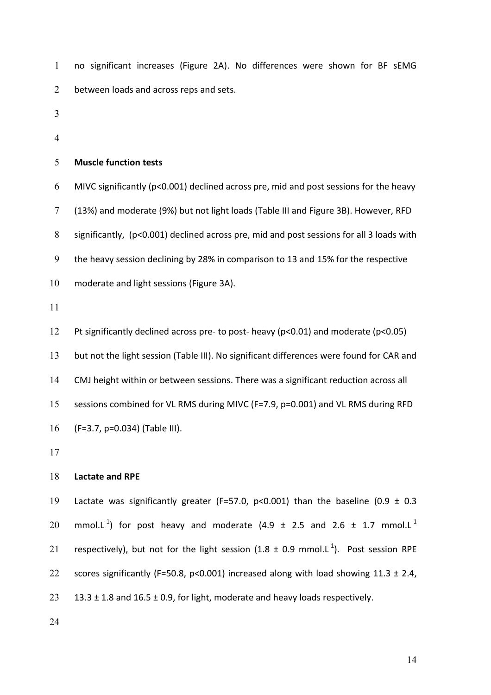no significant increases (Figure 2A). No differences were shown for BF sEMG between loads and across reps and sets.

- 
- 

### **Muscle function tests**

MIVC significantly (p<0.001) declined across pre, mid and post sessions for the heavy (13%) and moderate (9%) but not light loads (Table III and Figure 3B). However, RFD significantly, (p<0.001) declined across pre, mid and post sessions for all 3 loads with the heavy session declining by 28% in comparison to 13 and 15% for the respective moderate and light sessions (Figure 3A).

Pt significantly declined across pre- to post- heavy (p<0.01) and moderate (p<0.05) 13 but not the light session (Table III). No significant differences were found for CAR and CMJ height within or between sessions. There was a significant reduction across all sessions combined for VL RMS during MIVC (F=7.9, p=0.001) and VL RMS during RFD (F=3.7, p=0.034) (Table III).

#### **Lactate and RPE**

19 Lactate was significantly greater (F=57.0, p<0.001) than the baseline (0.9  $\pm$  0.3 20 mmol.L<sup>-1</sup>) for post heavy and moderate (4.9  $\pm$  2.5 and 2.6  $\pm$  1.7 mmol.L<sup>-1</sup> 21 respectively), but not for the light session (1.8  $\pm$  0.9 mmol.L<sup>-1</sup>). Post session RPE 22 scores significantly (F=50.8, p<0.001) increased along with load showing  $11.3 \pm 2.4$ , 23 13.3  $\pm$  1.8 and 16.5  $\pm$  0.9, for light, moderate and heavy loads respectively.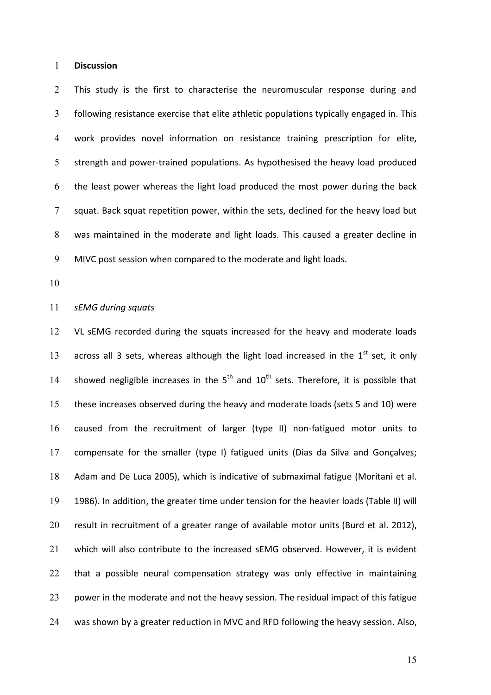#### **Discussion**

This study is the first to characterise the neuromuscular response during and following resistance exercise that elite athletic populations typically engaged in. This work provides novel information on resistance training prescription for elite, strength and power-trained populations. As hypothesised the heavy load produced the least power whereas the light load produced the most power during the back squat. Back squat repetition power, within the sets, declined for the heavy load but was maintained in the moderate and light loads. This caused a greater decline in MIVC post session when compared to the moderate and light loads.

#### *sEMG during squats*

12 VL sEMG recorded during the squats increased for the heavy and moderate loads 13 across all 3 sets, whereas although the light load increased in the  $1<sup>st</sup>$  set, it only 14 showed negligible increases in the  $5<sup>th</sup>$  and  $10<sup>th</sup>$  sets. Therefore, it is possible that these increases observed during the heavy and moderate loads (sets 5 and 10) were caused from the recruitment of larger (type II) non-fatigued motor units to compensate for the smaller (type I) fatigued units (Dias da Silva and Gonçalves; Adam and De Luca 2005), which is indicative of submaximal fatigue (Moritani et al. 1986). In addition, the greater time under tension for the heavier loads (Table II) will result in recruitment of a greater range of available motor units (Burd et al. 2012), which will also contribute to the increased sEMG observed. However, it is evident 22 that a possible neural compensation strategy was only effective in maintaining 23 power in the moderate and not the heavy session. The residual impact of this fatigue was shown by a greater reduction in MVC and RFD following the heavy session. Also,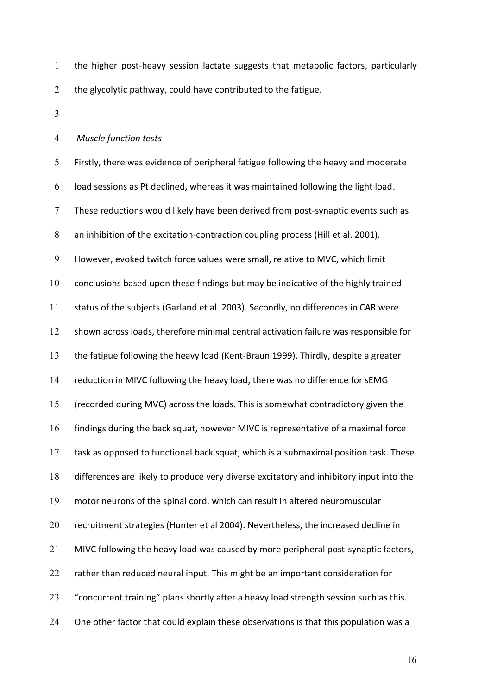the higher post-heavy session lactate suggests that metabolic factors, particularly 2 the glycolytic pathway, could have contributed to the fatigue.

#### *Muscle function tests*

Firstly, there was evidence of peripheral fatigue following the heavy and moderate load sessions as Pt declined, whereas it was maintained following the light load. These reductions would likely have been derived from post-synaptic events such as an inhibition of the excitation-contraction coupling process (Hill et al. 2001). However, evoked twitch force values were small, relative to MVC, which limit conclusions based upon these findings but may be indicative of the highly trained status of the subjects (Garland et al. 2003). Secondly, no differences in CAR were shown across loads, therefore minimal central activation failure was responsible for the fatigue following the heavy load (Kent-Braun 1999). Thirdly, despite a greater reduction in MIVC following the heavy load, there was no difference for sEMG (recorded during MVC) across the loads. This is somewhat contradictory given the findings during the back squat, however MIVC is representative of a maximal force task as opposed to functional back squat, which is a submaximal position task. These differences are likely to produce very diverse excitatory and inhibitory input into the motor neurons of the spinal cord, which can result in altered neuromuscular recruitment strategies (Hunter et al 2004). Nevertheless, the increased decline in MIVC following the heavy load was caused by more peripheral post-synaptic factors, 22 rather than reduced neural input. This might be an important consideration for 23 Concurrent training" plans shortly after a heavy load strength session such as this. 24 One other factor that could explain these observations is that this population was a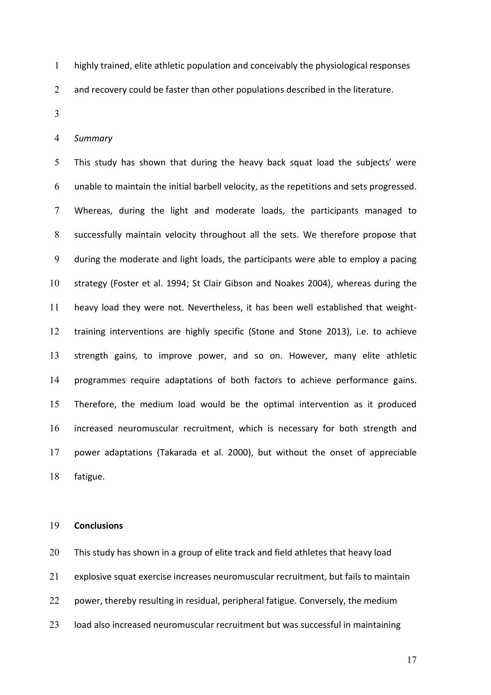highly trained, elite athletic population and conceivably the physiological responses

2 and recovery could be faster than other populations described in the literature.

*Summary*

5 This study has shown that during the heavy back squat load the subjects' were unable to maintain the initial barbell velocity, as the repetitions and sets progressed. Whereas, during the light and moderate loads, the participants managed to successfully maintain velocity throughout all the sets. We therefore propose that during the moderate and light loads, the participants were able to employ a pacing strategy (Foster et al. 1994; St Clair Gibson and Noakes 2004), whereas during the heavy load they were not. Nevertheless, it has been well established that weight-training interventions are highly specific (Stone and Stone 2013), i.e. to achieve strength gains, to improve power, and so on. However, many elite athletic programmes require adaptations of both factors to achieve performance gains. Therefore, the medium load would be the optimal intervention as it produced increased neuromuscular recruitment, which is necessary for both strength and power adaptations (Takarada et al. 2000), but without the onset of appreciable fatigue.

#### **Conclusions**

This study has shown in a group of elite track and field athletes that heavy load explosive squat exercise increases neuromuscular recruitment, but fails to maintain power, thereby resulting in residual, peripheral fatigue. Conversely, the medium load also increased neuromuscular recruitment but was successful in maintaining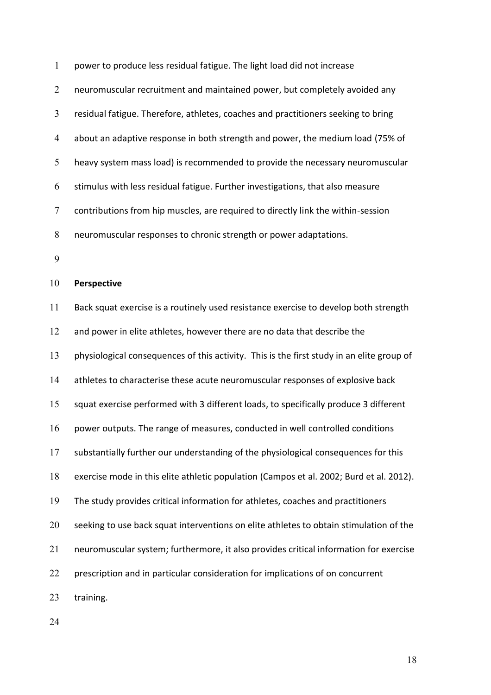power to produce less residual fatigue. The light load did not increase neuromuscular recruitment and maintained power, but completely avoided any residual fatigue. Therefore, athletes, coaches and practitioners seeking to bring about an adaptive response in both strength and power, the medium load (75% of heavy system mass load) is recommended to provide the necessary neuromuscular stimulus with less residual fatigue. Further investigations, that also measure contributions from hip muscles, are required to directly link the within-session neuromuscular responses to chronic strength or power adaptations. **Perspective**  Back squat exercise is a routinely used resistance exercise to develop both strength 12 and power in elite athletes, however there are no data that describe the physiological consequences of this activity. This is the first study in an elite group of athletes to characterise these acute neuromuscular responses of explosive back squat exercise performed with 3 different loads, to specifically produce 3 different

power outputs. The range of measures, conducted in well controlled conditions

substantially further our understanding of the physiological consequences for this

exercise mode in this elite athletic population (Campos et al. 2002; Burd et al. 2012).

The study provides critical information for athletes, coaches and practitioners

20 seeking to use back squat interventions on elite athletes to obtain stimulation of the

neuromuscular system; furthermore, it also provides critical information for exercise

22 prescription and in particular consideration for implications of on concurrent

training.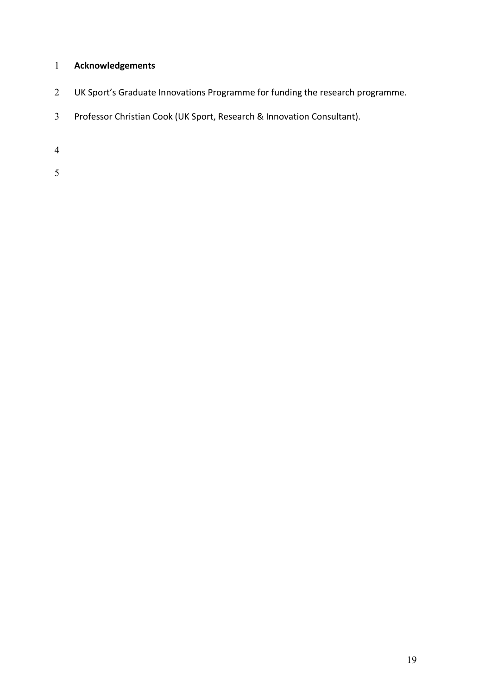# **Acknowledgements**

- 2 UK Sport's Graduate Innovations Programme for funding the research programme.
- Professor Christian Cook (UK Sport, Research & Innovation Consultant).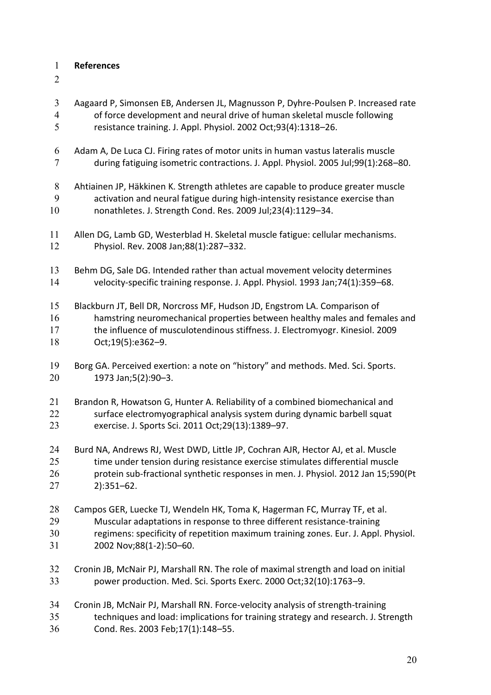## **References**

- 
- Aagaard P, Simonsen EB, Andersen JL, Magnusson P, Dyhre-Poulsen P. Increased rate of force development and neural drive of human skeletal muscle following resistance training. J. Appl. Physiol. 2002 Oct;93(4):1318–26. Adam A, De Luca CJ. Firing rates of motor units in human vastus lateralis muscle during fatiguing isometric contractions. J. Appl. Physiol. 2005 Jul;99(1):268–80. Ahtiainen JP, Häkkinen K. Strength athletes are capable to produce greater muscle activation and neural fatigue during high-intensity resistance exercise than nonathletes. J. Strength Cond. Res. 2009 Jul;23(4):1129–34. Allen DG, Lamb GD, Westerblad H. Skeletal muscle fatigue: cellular mechanisms. Physiol. Rev. 2008 Jan;88(1):287–332. Behm DG, Sale DG. Intended rather than actual movement velocity determines velocity-specific training response. J. Appl. Physiol. 1993 Jan;74(1):359–68. Blackburn JT, Bell DR, Norcross MF, Hudson JD, Engstrom LA. Comparison of hamstring neuromechanical properties between healthy males and females and the influence of musculotendinous stiffness. J. Electromyogr. Kinesiol. 2009 Oct;19(5):e362–9. 19 Borg GA. Perceived exertion: a note on "history" and methods. Med. Sci. Sports. 1973 Jan;5(2):90–3. Brandon R, Howatson G, Hunter A. Reliability of a combined biomechanical and surface electromyographical analysis system during dynamic barbell squat exercise. J. Sports Sci. 2011 Oct;29(13):1389–97. Burd NA, Andrews RJ, West DWD, Little JP, Cochran AJR, Hector AJ, et al. Muscle time under tension during resistance exercise stimulates differential muscle protein sub-fractional synthetic responses in men. J. Physiol. 2012 Jan 15;590(Pt 2):351–62. Campos GER, Luecke TJ, Wendeln HK, Toma K, Hagerman FC, Murray TF, et al. Muscular adaptations in response to three different resistance-training regimens: specificity of repetition maximum training zones. Eur. J. Appl. Physiol. 2002 Nov;88(1-2):50–60. Cronin JB, McNair PJ, Marshall RN. The role of maximal strength and load on initial power production. Med. Sci. Sports Exerc. 2000 Oct;32(10):1763–9. Cronin JB, McNair PJ, Marshall RN. Force-velocity analysis of strength-training techniques and load: implications for training strategy and research. J. Strength
- Cond. Res. 2003 Feb;17(1):148–55.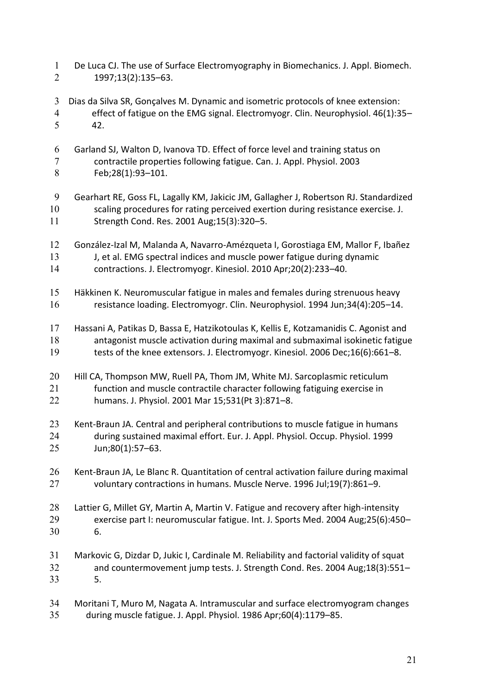- De Luca CJ. The use of Surface Electromyography in Biomechanics. J. Appl. Biomech. 1997;13(2):135–63.
- Dias da Silva SR, Gonçalves M. Dynamic and isometric protocols of knee extension: effect of fatigue on the EMG signal. Electromyogr. Clin. Neurophysiol. 46(1):35– 42.
- Garland SJ, Walton D, Ivanova TD. Effect of force level and training status on contractile properties following fatigue. Can. J. Appl. Physiol. 2003 Feb;28(1):93–101.
- Gearhart RE, Goss FL, Lagally KM, Jakicic JM, Gallagher J, Robertson RJ. Standardized scaling procedures for rating perceived exertion during resistance exercise. J. Strength Cond. Res. 2001 Aug;15(3):320–5.
- González-Izal M, Malanda A, Navarro-Amézqueta I, Gorostiaga EM, Mallor F, Ibañez 13 J, et al. EMG spectral indices and muscle power fatigue during dynamic contractions. J. Electromyogr. Kinesiol. 2010 Apr;20(2):233–40.
- Häkkinen K. Neuromuscular fatigue in males and females during strenuous heavy resistance loading. Electromyogr. Clin. Neurophysiol. 1994 Jun;34(4):205–14.
- Hassani A, Patikas D, Bassa E, Hatzikotoulas K, Kellis E, Kotzamanidis C. Agonist and antagonist muscle activation during maximal and submaximal isokinetic fatigue tests of the knee extensors. J. Electromyogr. Kinesiol. 2006 Dec;16(6):661–8.
- 20 Hill CA, Thompson MW, Ruell PA, Thom JM, White MJ. Sarcoplasmic reticulum function and muscle contractile character following fatiguing exercise in humans. J. Physiol. 2001 Mar 15;531(Pt 3):871–8.
- Kent-Braun JA. Central and peripheral contributions to muscle fatigue in humans during sustained maximal effort. Eur. J. Appl. Physiol. Occup. Physiol. 1999 Jun;80(1):57–63.
- Kent-Braun JA, Le Blanc R. Quantitation of central activation failure during maximal voluntary contractions in humans. Muscle Nerve. 1996 Jul;19(7):861–9.
- Lattier G, Millet GY, Martin A, Martin V. Fatigue and recovery after high-intensity exercise part I: neuromuscular fatigue. Int. J. Sports Med. 2004 Aug;25(6):450– 6.
- Markovic G, Dizdar D, Jukic I, Cardinale M. Reliability and factorial validity of squat and countermovement jump tests. J. Strength Cond. Res. 2004 Aug;18(3):551– 5.
- Moritani T, Muro M, Nagata A. Intramuscular and surface electromyogram changes during muscle fatigue. J. Appl. Physiol. 1986 Apr;60(4):1179–85.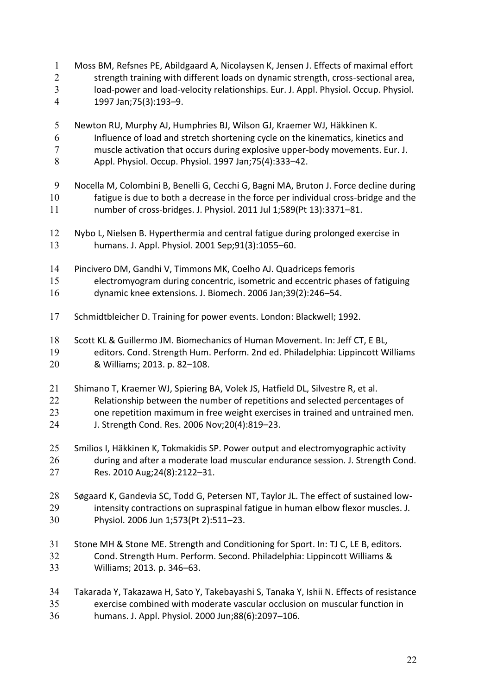|   | Moss BM, Refsnes PE, Abildgaard A, Nicolaysen K, Jensen J. Effects of maximal effort |
|---|--------------------------------------------------------------------------------------|
|   | strength training with different loads on dynamic strength, cross-sectional area,    |
| 3 | load-power and load-velocity relationships. Eur. J. Appl. Physiol. Occup. Physiol.   |
| 4 | 1997 Jan; 75(3): 193-9.                                                              |

- Newton RU, Murphy AJ, Humphries BJ, Wilson GJ, Kraemer WJ, Häkkinen K. Influence of load and stretch shortening cycle on the kinematics, kinetics and muscle activation that occurs during explosive upper-body movements. Eur. J. Appl. Physiol. Occup. Physiol. 1997 Jan;75(4):333–42.
- Nocella M, Colombini B, Benelli G, Cecchi G, Bagni MA, Bruton J. Force decline during fatigue is due to both a decrease in the force per individual cross-bridge and the number of cross-bridges. J. Physiol. 2011 Jul 1;589(Pt 13):3371–81.
- Nybo L, Nielsen B. Hyperthermia and central fatigue during prolonged exercise in humans. J. Appl. Physiol. 2001 Sep;91(3):1055–60.
- Pincivero DM, Gandhi V, Timmons MK, Coelho AJ. Quadriceps femoris electromyogram during concentric, isometric and eccentric phases of fatiguing dynamic knee extensions. J. Biomech. 2006 Jan;39(2):246–54.
- Schmidtbleicher D. Training for power events. London: Blackwell; 1992.
- Scott KL & Guillermo JM. Biomechanics of Human Movement. In: Jeff CT, E BL, editors. Cond. Strength Hum. Perform. 2nd ed. Philadelphia: Lippincott Williams & Williams; 2013. p. 82–108.
- Shimano T, Kraemer WJ, Spiering BA, Volek JS, Hatfield DL, Silvestre R, et al. Relationship between the number of repetitions and selected percentages of one repetition maximum in free weight exercises in trained and untrained men. J. Strength Cond. Res. 2006 Nov;20(4):819–23.
- Smilios I, Häkkinen K, Tokmakidis SP. Power output and electromyographic activity during and after a moderate load muscular endurance session. J. Strength Cond. Res. 2010 Aug;24(8):2122–31.
- Søgaard K, Gandevia SC, Todd G, Petersen NT, Taylor JL. The effect of sustained low-intensity contractions on supraspinal fatigue in human elbow flexor muscles. J. Physiol. 2006 Jun 1;573(Pt 2):511–23.
- Stone MH & Stone ME. Strength and Conditioning for Sport. In: TJ C, LE B, editors. Cond. Strength Hum. Perform. Second. Philadelphia: Lippincott Williams & Williams; 2013. p. 346–63.
- Takarada Y, Takazawa H, Sato Y, Takebayashi S, Tanaka Y, Ishii N. Effects of resistance exercise combined with moderate vascular occlusion on muscular function in humans. J. Appl. Physiol. 2000 Jun;88(6):2097–106.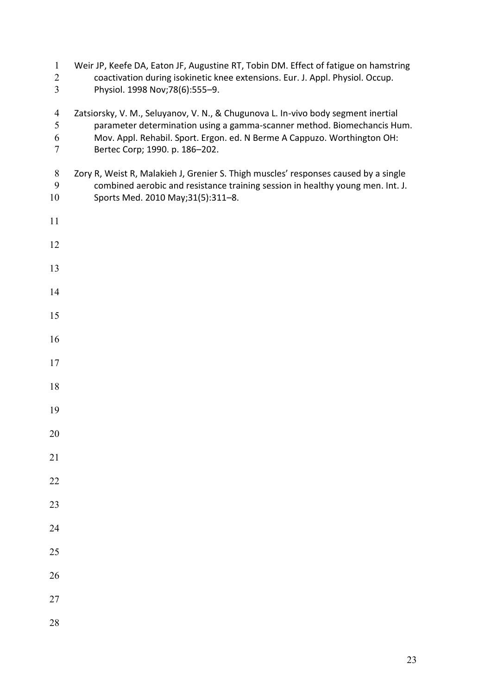| $\mathbf{1}$<br>$\overline{2}$<br>$\overline{3}$ | Weir JP, Keefe DA, Eaton JF, Augustine RT, Tobin DM. Effect of fatigue on hamstring<br>coactivation during isokinetic knee extensions. Eur. J. Appl. Physiol. Occup.<br>Physiol. 1998 Nov; 78(6): 555-9.                                                                   |  |
|--------------------------------------------------|----------------------------------------------------------------------------------------------------------------------------------------------------------------------------------------------------------------------------------------------------------------------------|--|
| $\overline{4}$<br>5<br>6<br>$\overline{7}$       | Zatsiorsky, V. M., Seluyanov, V. N., & Chugunova L. In-vivo body segment inertial<br>parameter determination using a gamma-scanner method. Biomechancis Hum.<br>Mov. Appl. Rehabil. Sport. Ergon. ed. N Berme A Cappuzo. Worthington OH:<br>Bertec Corp; 1990. p. 186-202. |  |
| $8\,$<br>9<br>10                                 | Zory R, Weist R, Malakieh J, Grenier S. Thigh muscles' responses caused by a single<br>combined aerobic and resistance training session in healthy young men. Int. J.<br>Sports Med. 2010 May;31(5):311-8.                                                                 |  |
| 11                                               |                                                                                                                                                                                                                                                                            |  |
| 12                                               |                                                                                                                                                                                                                                                                            |  |
| 13                                               |                                                                                                                                                                                                                                                                            |  |
| 14                                               |                                                                                                                                                                                                                                                                            |  |
| 15                                               |                                                                                                                                                                                                                                                                            |  |
| 16                                               |                                                                                                                                                                                                                                                                            |  |
| 17                                               |                                                                                                                                                                                                                                                                            |  |
| 18                                               |                                                                                                                                                                                                                                                                            |  |
| 19                                               |                                                                                                                                                                                                                                                                            |  |
| 20                                               |                                                                                                                                                                                                                                                                            |  |
| 21                                               |                                                                                                                                                                                                                                                                            |  |
| 22                                               |                                                                                                                                                                                                                                                                            |  |
| 23                                               |                                                                                                                                                                                                                                                                            |  |
| 24                                               |                                                                                                                                                                                                                                                                            |  |
| 25                                               |                                                                                                                                                                                                                                                                            |  |
| 26                                               |                                                                                                                                                                                                                                                                            |  |
| 27                                               |                                                                                                                                                                                                                                                                            |  |
| 28                                               |                                                                                                                                                                                                                                                                            |  |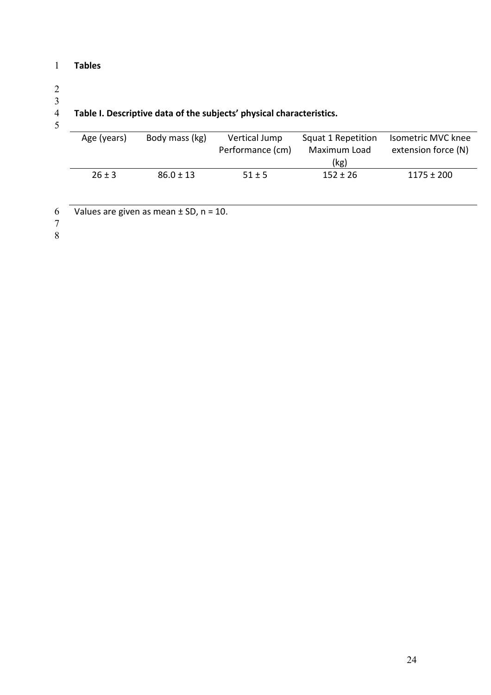# 1 **Tables**

# 2

# 3

5

# 4 **Table I. Descriptive data of the subjects' physical characteristics.**

| Age (years) | Body mass (kg) | Vertical Jump<br>Performance (cm) | Squat 1 Repetition<br>Maximum Load<br>(kg) | Isometric MVC knee<br>extension force (N) |
|-------------|----------------|-----------------------------------|--------------------------------------------|-------------------------------------------|
| $26 \pm 3$  | $86.0 \pm 13$  | $51 \pm 5$                        | $152 \pm 26$                               | $1175 \pm 200$                            |

- 6 Values are given as mean  $\pm$  SD, n = 10.
- 7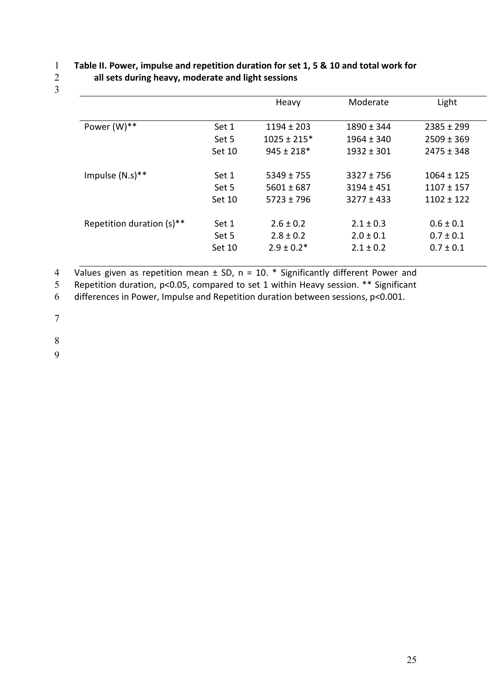3

# 1 **Table II. Power, impulse and repetition duration for set 1, 5 & 10 and total work for**  2 **all sets during heavy, moderate and light sessions**

|                           |        | Heavy           | Moderate       | Light          |
|---------------------------|--------|-----------------|----------------|----------------|
| Power $(W)$ **            | Set 1  | $1194 \pm 203$  | $1890 \pm 344$ | $2385 \pm 299$ |
|                           | Set 5  | $1025 \pm 215*$ | $1964 \pm 340$ | $2509 \pm 369$ |
|                           | Set 10 | $945 \pm 218*$  | $1932 \pm 301$ | $2475 \pm 348$ |
| Impulse $(N.s)**$         | Set 1  | $5349 \pm 755$  | $3327 \pm 756$ | $1064 \pm 125$ |
|                           | Set 5  | $5601 \pm 687$  | $3194 \pm 451$ | $1107 \pm 157$ |
|                           | Set 10 | $5723 \pm 796$  | $3277 \pm 433$ | $1102 \pm 122$ |
| Repetition duration (s)** | Set 1  | $2.6 \pm 0.2$   | $2.1 \pm 0.3$  | $0.6 \pm 0.1$  |
|                           | Set 5  | $2.8 \pm 0.2$   | $2.0 \pm 0.1$  | $0.7 \pm 0.1$  |
|                           | Set 10 | $2.9 \pm 0.2*$  | $2.1 \pm 0.2$  | $0.7 \pm 0.1$  |

4 Values given as repetition mean  $\pm$  SD, n = 10.  $*$  Significantly different Power and

5 Repetition duration, p<0.05, compared to set 1 within Heavy session. \*\* Significant

6 differences in Power, Impulse and Repetition duration between sessions, p<0.001.

7

8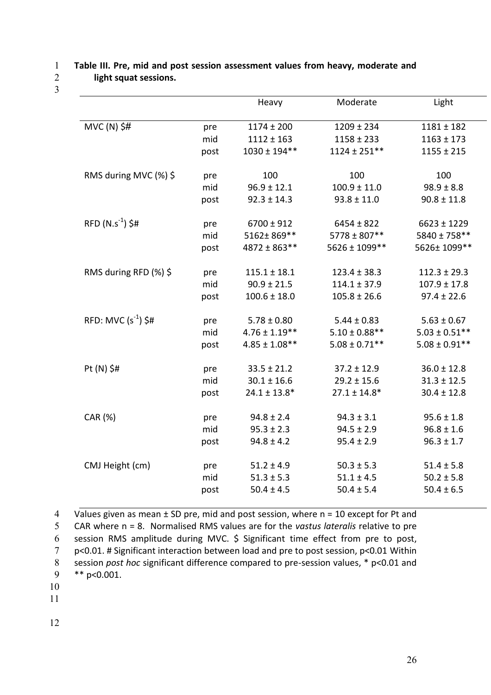## 1 **Table III. Pre, mid and post session assessment values from heavy, moderate and**  2 **light squat sessions.**

3

|                         |      | Heavy              | Moderate           | Light              |
|-------------------------|------|--------------------|--------------------|--------------------|
|                         |      |                    |                    |                    |
| $MVC(N)$ \$#            | pre  | $1174 \pm 200$     | $1209 \pm 234$     | $1181 \pm 182$     |
|                         | mid  | $1112 \pm 163$     | $1158 \pm 233$     | $1163 \pm 173$     |
|                         | post | $1030 \pm 194$ **  | $1124 \pm 251***$  | $1155 \pm 215$     |
|                         |      |                    |                    |                    |
| RMS during MVC (%) \$   | pre  | 100                | 100                | 100                |
|                         | mid  | $96.9 \pm 12.1$    | $100.9 \pm 11.0$   | $98.9 \pm 8.8$     |
|                         | post | $92.3 \pm 14.3$    | $93.8 \pm 11.0$    | $90.8 \pm 11.8$    |
|                         |      |                    |                    |                    |
| $RFD (N.s-1)$ \$#       | pre  | $6700 \pm 912$     | $6454 \pm 822$     | $6623 \pm 1229$    |
|                         | mid  | 5162±869**         | $5778 \pm 807$ **  | 5840 ± 758**       |
|                         | post | 4872 ± 863**       | 5626 ± 1099**      | 5626±1099**        |
|                         |      |                    |                    |                    |
| RMS during RFD (%) \$   | pre  | $115.1 \pm 18.1$   | $123.4 \pm 38.3$   | $112.3 \pm 29.3$   |
|                         | mid  | $90.9 \pm 21.5$    | $114.1 \pm 37.9$   | $107.9 \pm 17.8$   |
|                         | post | $100.6 \pm 18.0$   | $105.8 \pm 26.6$   | $97.4 \pm 22.6$    |
|                         |      |                    |                    |                    |
| RFD: MVC $(s^{-1})$ \$# | pre  | $5.78 \pm 0.80$    | $5.44 \pm 0.83$    | $5.63 \pm 0.67$    |
|                         | mid  | $4.76 \pm 1.19***$ | $5.10 \pm 0.88***$ | $5.03 \pm 0.51***$ |
|                         | post | $4.85 \pm 1.08***$ | $5.08 \pm 0.71$ ** | $5.08 \pm 0.91$ ** |
|                         |      |                    |                    |                    |
| Pt $(N)$ \$#            | pre  | $33.5 \pm 21.2$    | $37.2 \pm 12.9$    | $36.0 \pm 12.8$    |
|                         | mid  | $30.1 \pm 16.6$    | $29.2 \pm 15.6$    | $31.3 \pm 12.5$    |
|                         | post | $24.1 \pm 13.8*$   | $27.1 \pm 14.8*$   | $30.4 \pm 12.8$    |
|                         |      |                    |                    |                    |
| CAR (%)                 | pre  | $94.8 \pm 2.4$     | $94.3 \pm 3.1$     | $95.6 \pm 1.8$     |
|                         | mid  | $95.3 \pm 2.3$     | $94.5 \pm 2.9$     | $96.8 \pm 1.6$     |
|                         | post | $94.8 \pm 4.2$     | $95.4 \pm 2.9$     | $96.3 \pm 1.7$     |
|                         |      |                    |                    |                    |
| CMJ Height (cm)         | pre  | $51.2 \pm 4.9$     | $50.3 \pm 5.3$     | $51.4 \pm 5.8$     |
|                         | mid  | $51.3 \pm 5.3$     | $51.1 \pm 4.5$     | $50.2 \pm 5.8$     |
|                         | post | $50.4 \pm 4.5$     | $50.4 \pm 5.4$     | $50.4 \pm 6.5$     |

4 Values given as mean ± SD pre, mid and post session, where n = 10 except for Pt and

5 CAR where n = 8. Normalised RMS values are for the *vastus lateralis* relative to pre

6 session RMS amplitude during MVC. \$ Significant time effect from pre to post, 7 p<0.01. # Significant interaction between load and pre to post session, p<0.01 Within 8 session *post hoc* significant difference compared to pre-session values, \* p<0.01 and

10

11

<sup>9</sup> \*\* p<0.001.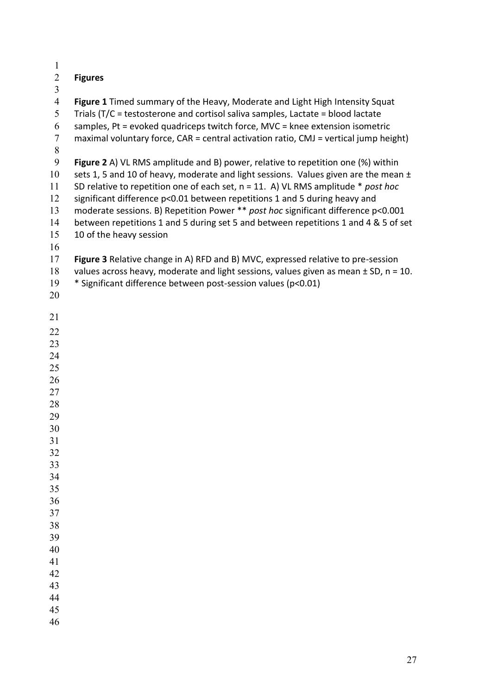| $\mathbf{1}$   |                                                                                          |
|----------------|------------------------------------------------------------------------------------------|
| $\overline{2}$ | <b>Figures</b>                                                                           |
| 3              |                                                                                          |
| $\overline{4}$ | Figure 1 Timed summary of the Heavy, Moderate and Light High Intensity Squat             |
| 5              | Trials (T/C = testosterone and cortisol saliva samples, Lactate = blood lactate          |
| 6              | samples, Pt = evoked quadriceps twitch force, MVC = knee extension isometric             |
| $\overline{7}$ | maximal voluntary force, CAR = central activation ratio, CMJ = vertical jump height)     |
| $8\,$          |                                                                                          |
| 9              | Figure 2 A) VL RMS amplitude and B) power, relative to repetition one (%) within         |
| 10             | sets 1, 5 and 10 of heavy, moderate and light sessions. Values given are the mean ±      |
| 11             | SD relative to repetition one of each set, $n = 11$ . A) VL RMS amplitude * post hoc     |
| 12             | significant difference p<0.01 between repetitions 1 and 5 during heavy and               |
| 13             | moderate sessions. B) Repetition Power ** post hoc significant difference p<0.001        |
| 14             | between repetitions 1 and 5 during set 5 and between repetitions 1 and 4 & 5 of set      |
| 15             | 10 of the heavy session                                                                  |
| 16             |                                                                                          |
| 17             | Figure 3 Relative change in A) RFD and B) MVC, expressed relative to pre-session         |
| 18             | values across heavy, moderate and light sessions, values given as mean $\pm$ SD, n = 10. |
| 19             | * Significant difference between post-session values (p<0.01)                            |
| 20             |                                                                                          |
| 21             |                                                                                          |
|                |                                                                                          |
| 22             |                                                                                          |
| 23             |                                                                                          |
| 24<br>25       |                                                                                          |
| 26             |                                                                                          |
| 27             |                                                                                          |
| 28             |                                                                                          |
| 29             |                                                                                          |
| 30             |                                                                                          |
| 31             |                                                                                          |
| 32             |                                                                                          |
| 33             |                                                                                          |
| 34             |                                                                                          |
| 35             |                                                                                          |
| 36             |                                                                                          |
| 37             |                                                                                          |
| 38             |                                                                                          |
| 39             |                                                                                          |
| 40             |                                                                                          |
| 41             |                                                                                          |
| 42             |                                                                                          |
| 43             |                                                                                          |
| 44             |                                                                                          |
| 45             |                                                                                          |
| 46             |                                                                                          |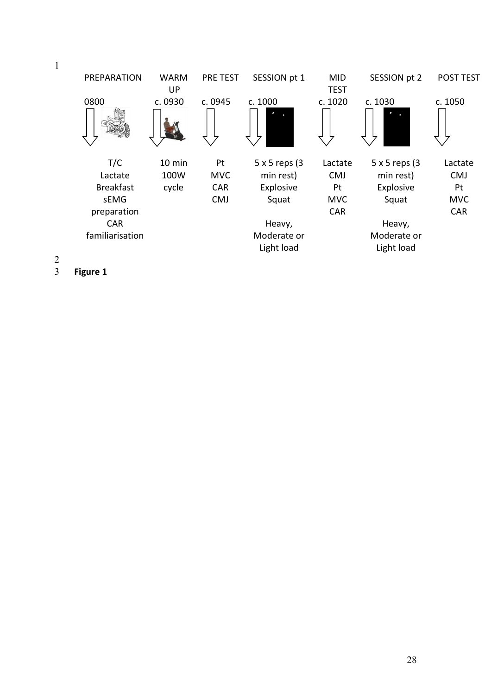

3 **Figure 1**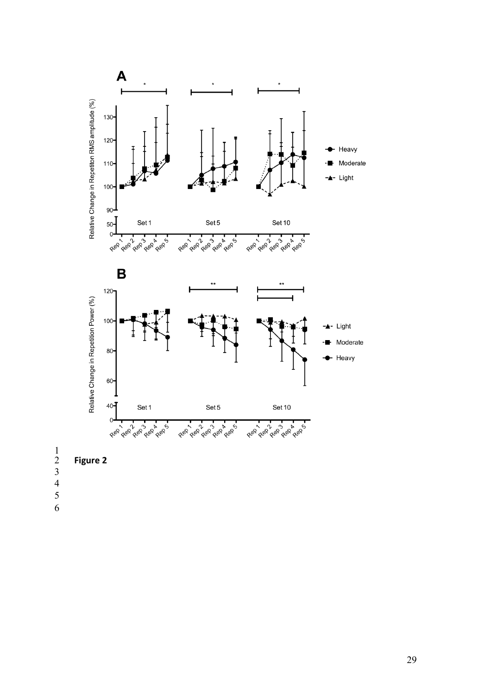

- 
- 
- 
-